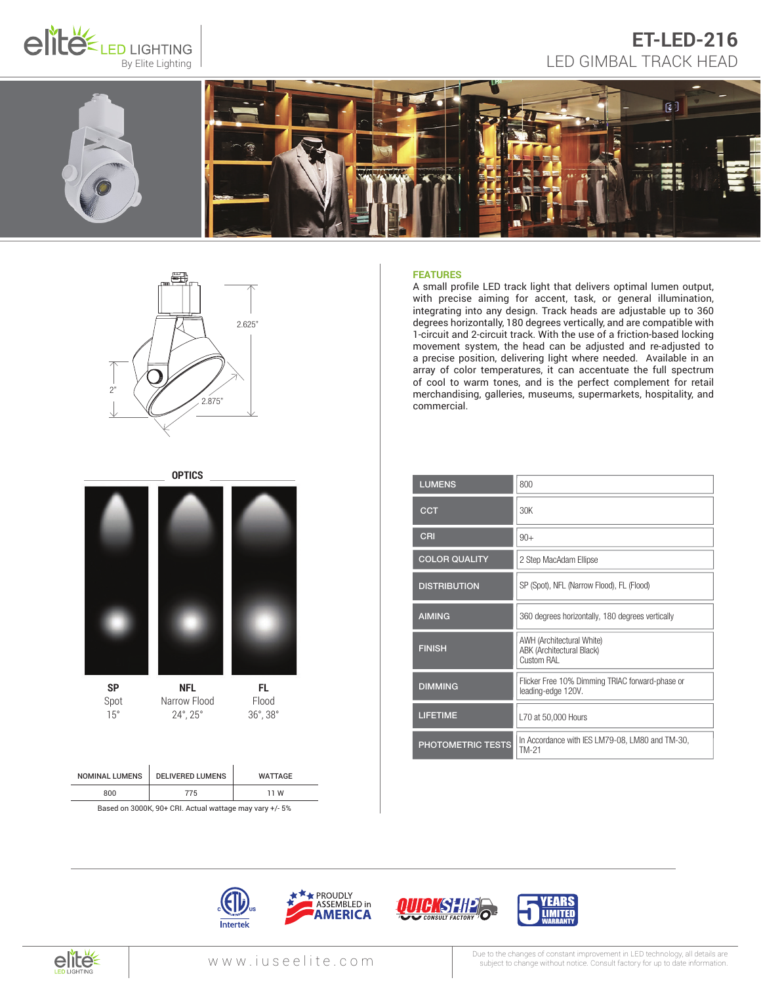

# ET-LED-216<br>By Elite Lighting Supering LED GIMBAL TRACK HEAD **ET-LED-216**





# **OPTICS SP** Spot 15° **FL** Flood 36°, 38° **NFL** Narrow Flood 24°, 25°

| <b>NOMINAL LUMENS</b> | <b>DELIVERED LUMENS</b> | <b>WATTAGE</b> |
|-----------------------|-------------------------|----------------|
| 800                   | 775                     | 11 W           |
|                       |                         |                |

Based on 3000K, 90+ CRI. Actual wattage may vary +/- 5%

#### **FEATURES**

A small profile LED track light that delivers optimal lumen output, with precise aiming for accent, task, or general illumination, integrating into any design. Track heads are adjustable up to 360 degrees horizontally, 180 degrees vertically, and are compatible with 1-circuit and 2-circuit track. With the use of a friction-based locking movement system, the head can be adjusted and re-adjusted to a precise position, delivering light where needed. Available in an array of color temperatures, it can accentuate the full spectrum of cool to warm tones, and is the perfect complement for retail merchandising, galleries, museums, supermarkets, hospitality, and commercial.

| <b>LUMENS</b>            | 800                                                                   |
|--------------------------|-----------------------------------------------------------------------|
| <b>CCT</b>               | 30K                                                                   |
| CRI                      | $90+$                                                                 |
| <b>COLOR QUALITY</b>     | 2 Step MacAdam Ellipse                                                |
| <b>DISTRIBUTION</b>      | SP (Spot), NFL (Narrow Flood), FL (Flood)                             |
| <b>AIMING</b>            | 360 degrees horizontally, 180 degrees vertically                      |
| <b>FINISH</b>            | AWH (Architectural White)<br>ABK (Architectural Black)<br>Custom RAI  |
| <b>DIMMING</b>           | Flicker Free 10% Dimming TRIAC forward-phase or<br>leading-edge 120V. |
| <b>LIFETIME</b>          | L70 at 50,000 Hours                                                   |
| <b>PHOTOMETRIC TESTS</b> | In Accordance with IES LM79-08, LM80 and TM-30,<br>TM-21              |